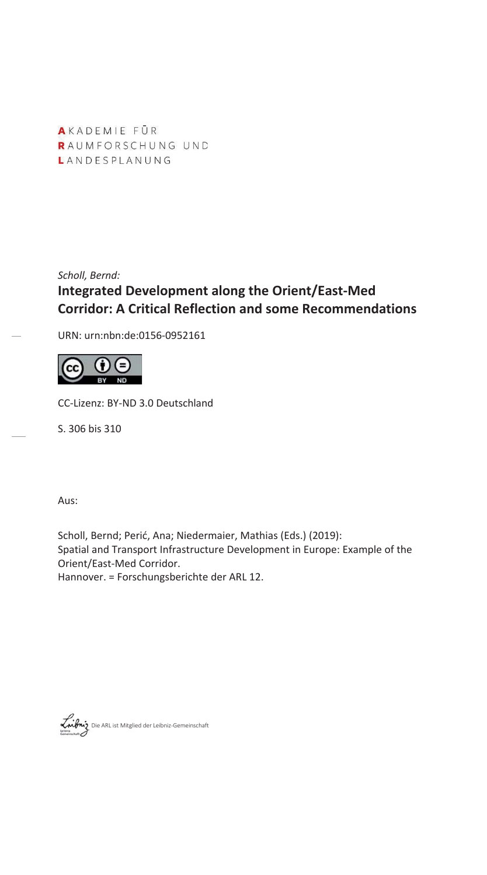AKADEMIE FŪR RAUMFORSCHUNG UND LANDESPLANUNG

*Scholl, Bernd:* **Integrated Development along the Orient/East-Med Corridor: A Critical Reflection and some Recommendations** 

URN: urn:nbn:de:0156-0952161



CC-Lizenz: BY-ND 3.0 Deutschland

S. 306 bis 310

Aus:

Scholl, Bernd; Perić, Ana; Niedermaier, Mathias (Eds.) (2019): Spatial and Transport Infrastructure Development in Europe: Example of the Orient/East-Med Corridor. Hannover. = Forschungsberichte der ARL 12.

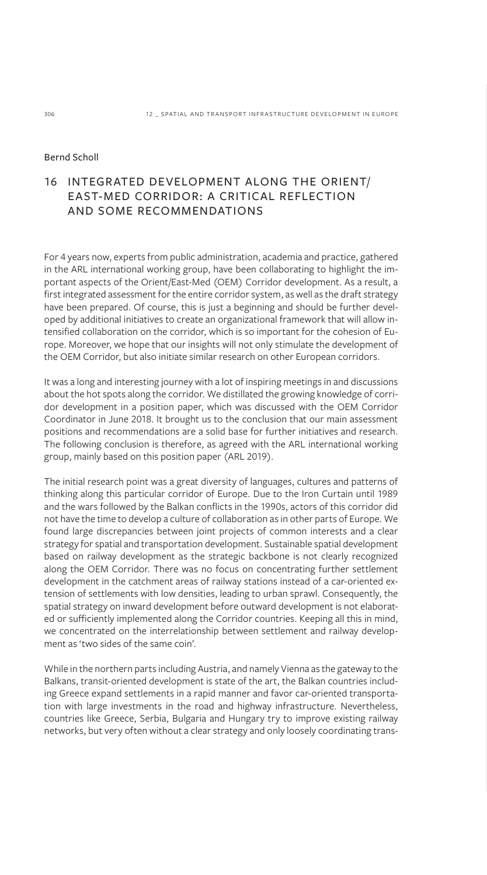# Bernd Scholl

# 16 INTEGRATED DEVELOPMENT ALONG THE ORIENT/ EAST-MED CORRIDOR: A CRITICAL REFLECTION AND SOME RECOMMENDATIONS

For 4 years now, experts from public administration, academia and practice, gathered in the ARL international working group, have been collaborating to highlight the important aspects of the Orient/East-Med (OEM) Corridor development. As a result, a first integrated assessment for the entire corridor system, as well as the draft strategy have been prepared. Of course, this is just a beginning and should be further developed by additional initiatives to create an organizational framework that will allow intensified collaboration on the corridor, which is so important for the cohesion of Europe. Moreover, we hope that our insights will not only stimulate the development of the OEM Corridor, but also initiate similar research on other European corridors.

It was a long and interesting journey with a lot of inspiring meetings in and discussions about the hot spots along the corridor. We distillated the growing knowledge of corridor development in a position paper, which was discussed with the OEM Corridor Coordinator in June 2018. It brought us to the conclusion that our main assessment positions and recommendations are a solid base for further initiatives and research. The following conclusion is therefore, as agreed with the ARL international working group, mainly based on this position paper (ARL 2019).

The initial research point was a great diversity of languages, cultures and patterns of thinking along this particular corridor of Europe. Due to the Iron Curtain until 1989 and the wars followed by the Balkan conflicts in the 1990s, actors of this corridor did not have the time to develop a culture of collaboration as in other parts of Europe. We found large discrepancies between joint projects of common interests and a clear strategy for spatial and transportation development. Sustainable spatial development based on railway development as the strategic backbone is not clearly recognized along the OEM Corridor. There was no focus on concentrating further settlement development in the catchment areas of railway stations instead of a car-oriented extension of settlements with low densities, leading to urban sprawl. Consequently, the spatial strategy on inward development before outward development is not elaborated or sufficiently implemented along the Corridor countries. Keeping all this in mind, we concentrated on the interrelationship between settlement and railway development as 'two sides of the same coin'.

While in the northern parts including Austria, and namely Vienna as the gateway to the Balkans, transit-oriented development is state of the art, the Balkan countries including Greece expand settlements in a rapid manner and favor car-oriented transportation with large investments in the road and highway infrastructure. Nevertheless, countries like Greece, Serbia, Bulgaria and Hungary try to improve existing railway networks, but very often without a clear strategy and only loosely coordinating trans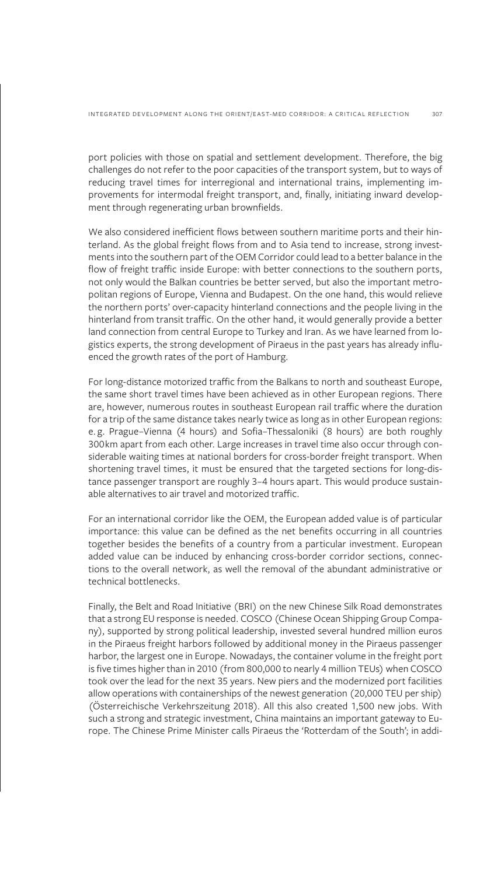port policies with those on spatial and settlement development. Therefore, the big challenges do not refer to the poor capacities of the transport system, but to ways of reducing travel times for interregional and international trains, implementing improvements for intermodal freight transport, and, finally, initiating inward development through regenerating urban brownfields.

We also considered inefficient flows between southern maritime ports and their hinterland. As the global freight flows from and to Asia tend to increase, strong investments into the southern part of the OEM Corridor could lead to a better balance in the flow of freight traffic inside Europe: with better connections to the southern ports, not only would the Balkan countries be better served, but also the important metropolitan regions of Europe, Vienna and Budapest. On the one hand, this would relieve the northern ports' over-capacity hinterland connections and the people living in the hinterland from transit traffic. On the other hand, it would generally provide a better land connection from central Europe to Turkey and Iran. As we have learned from logistics experts, the strong development of Piraeus in the past years has already influenced the growth rates of the port of Hamburg.

For long-distance motorized traffic from the Balkans to north and southeast Europe, the same short travel times have been achieved as in other European regions. There are, however, numerous routes in southeast European rail traffic where the duration for a trip of the same distance takes nearly twice as long as in other European regions: e. g. Prague–Vienna (4 hours) and Sofia–Thessaloniki (8 hours) are both roughly 300km apart from each other. Large increases in travel time also occur through considerable waiting times at national borders for cross-border freight transport. When shortening travel times, it must be ensured that the targeted sections for long-distance passenger transport are roughly 3–4 hours apart. This would produce sustainable alternatives to air travel and motorized traffic.

For an international corridor like the OEM, the European added value is of particular importance: this value can be defined as the net benefits occurring in all countries together besides the benefits of a country from a particular investment. European added value can be induced by enhancing cross-border corridor sections, connections to the overall network, as well the removal of the abundant administrative or technical bottlenecks.

Finally, the Belt and Road Initiative (BRI) on the new Chinese Silk Road demonstrates that a strong EU response is needed. COSCO (Chinese Ocean Shipping Group Company), supported by strong political leadership, invested several hundred million euros in the Piraeus freight harbors followed by additional money in the Piraeus passenger harbor, the largest one in Europe. Nowadays, the container volume in the freight port is five times higher than in 2010 (from 800,000 to nearly 4 million TEUs) when COSCO took over the lead for the next 35 years. New piers and the modernized port facilities allow operations with containerships of the newest generation (20,000 TEU per ship) (Österreichische Verkehrszeitung 2018). All this also created 1,500 new jobs. With such a strong and strategic investment, China maintains an important gateway to Europe. The Chinese Prime Minister calls Piraeus the 'Rotterdam of the South'; in addi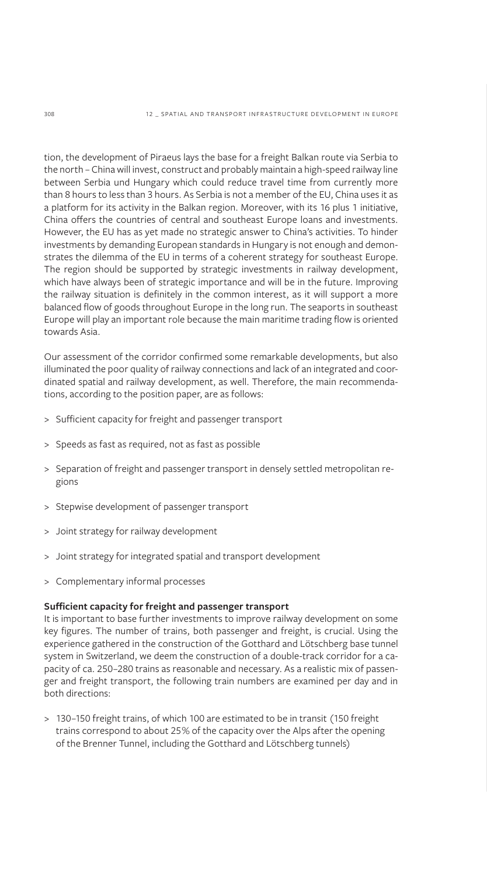tion, the development of Piraeus lays the base for a freight Balkan route via Serbia to the north – China will invest, construct and probably maintain a high-speed railway line between Serbia und Hungary which could reduce travel time from currently more than 8 hours to less than 3 hours. As Serbia is not a member of the EU, China uses it as a platform for its activity in the Balkan region. Moreover, with its 16 plus 1 initiative, China offers the countries of central and southeast Europe loans and investments. However, the EU has as yet made no strategic answer to China's activities. To hinder investments by demanding European standards in Hungary is not enough and demonstrates the dilemma of the EU in terms of a coherent strategy for southeast Europe. The region should be supported by strategic investments in railway development, which have always been of strategic importance and will be in the future. Improving the railway situation is definitely in the common interest, as it will support a more balanced flow of goods throughout Europe in the long run. The seaports in southeast Europe will play an important role because the main maritime trading flow is oriented towards Asia.

Our assessment of the corridor confirmed some remarkable developments, but also illuminated the poor quality of railway connections and lack of an integrated and coordinated spatial and railway development, as well. Therefore, the main recommendations, according to the position paper, are as follows:

- > Sufficient capacity for freight and passenger transport
- > Speeds as fast as required, not as fast as possible
- > Separation of freight and passenger transport in densely settled metropolitan regions
- > Stepwise development of passenger transport
- > Joint strategy for railway development
- > Joint strategy for integrated spatial and transport development
- > Complementary informal processes

### **Sufficient capacity for freight and passenger transport**

It is important to base further investments to improve railway development on some key figures. The number of trains, both passenger and freight, is crucial. Using the experience gathered in the construction of the Gotthard and Lötschberg base tunnel system in Switzerland, we deem the construction of a double-track corridor for a capacity of ca. 250–280 trains as reasonable and necessary. As a realistic mix of passenger and freight transport, the following train numbers are examined per day and in both directions:

> 130–150 freight trains, of which 100 are estimated to be in transit (150 freight trains correspond to about 25% of the capacity over the Alps after the opening of the Brenner Tunnel, including the Gotthard and Lötschberg tunnels)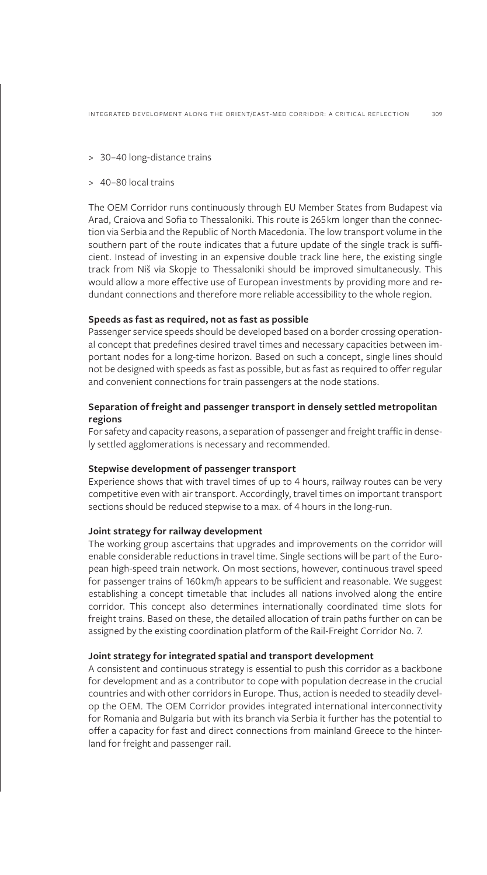- > 30–40 long-distance trains
- > 40–80 local trains

The OEM Corridor runs continuously through EU Member States from Budapest via Arad, Craiova and Sofia to Thessaloniki. This route is 265km longer than the connection via Serbia and the Republic of North Macedonia. The low transport volume in the southern part of the route indicates that a future update of the single track is sufficient. Instead of investing in an expensive double track line here, the existing single track from Niš via Skopje to Thessaloniki should be improved simultaneously. This would allow a more effective use of European investments by providing more and redundant connections and therefore more reliable accessibility to the whole region.

### **Speeds as fast as required, not as fast as possible**

Passenger service speeds should be developed based on a border crossing operational concept that predefines desired travel times and necessary capacities between important nodes for a long-time horizon. Based on such a concept, single lines should not be designed with speeds as fast as possible, but as fast as required to offer regular and convenient connections for train passengers at the node stations.

# **Separation of freight and passenger transport in densely settled metropolitan regions**

For safety and capacity reasons, a separation of passenger and freight traffic in densely settled agglomerations is necessary and recommended.

#### **Stepwise development of passenger transport**

Experience shows that with travel times of up to 4 hours, railway routes can be very competitive even with air transport. Accordingly, travel times on important transport sections should be reduced stepwise to a max. of 4 hours in the long-run.

## **Joint strategy for railway development**

The working group ascertains that upgrades and improvements on the corridor will enable considerable reductions in travel time. Single sections will be part of the European high-speed train network. On most sections, however, continuous travel speed for passenger trains of 160km/h appears to be sufficient and reasonable. We suggest establishing a concept timetable that includes all nations involved along the entire corridor. This concept also determines internationally coordinated time slots for freight trains. Based on these, the detailed allocation of train paths further on can be assigned by the existing coordination platform of the Rail-Freight Corridor No. 7.

### **Joint strategy for integrated spatial and transport development**

A consistent and continuous strategy is essential to push this corridor as a backbone for development and as a contributor to cope with population decrease in the crucial countries and with other corridors in Europe. Thus, action is needed to steadily develop the OEM. The OEM Corridor provides integrated international interconnectivity for Romania and Bulgaria but with its branch via Serbia it further has the potential to offer a capacity for fast and direct connections from mainland Greece to the hinterland for freight and passenger rail.